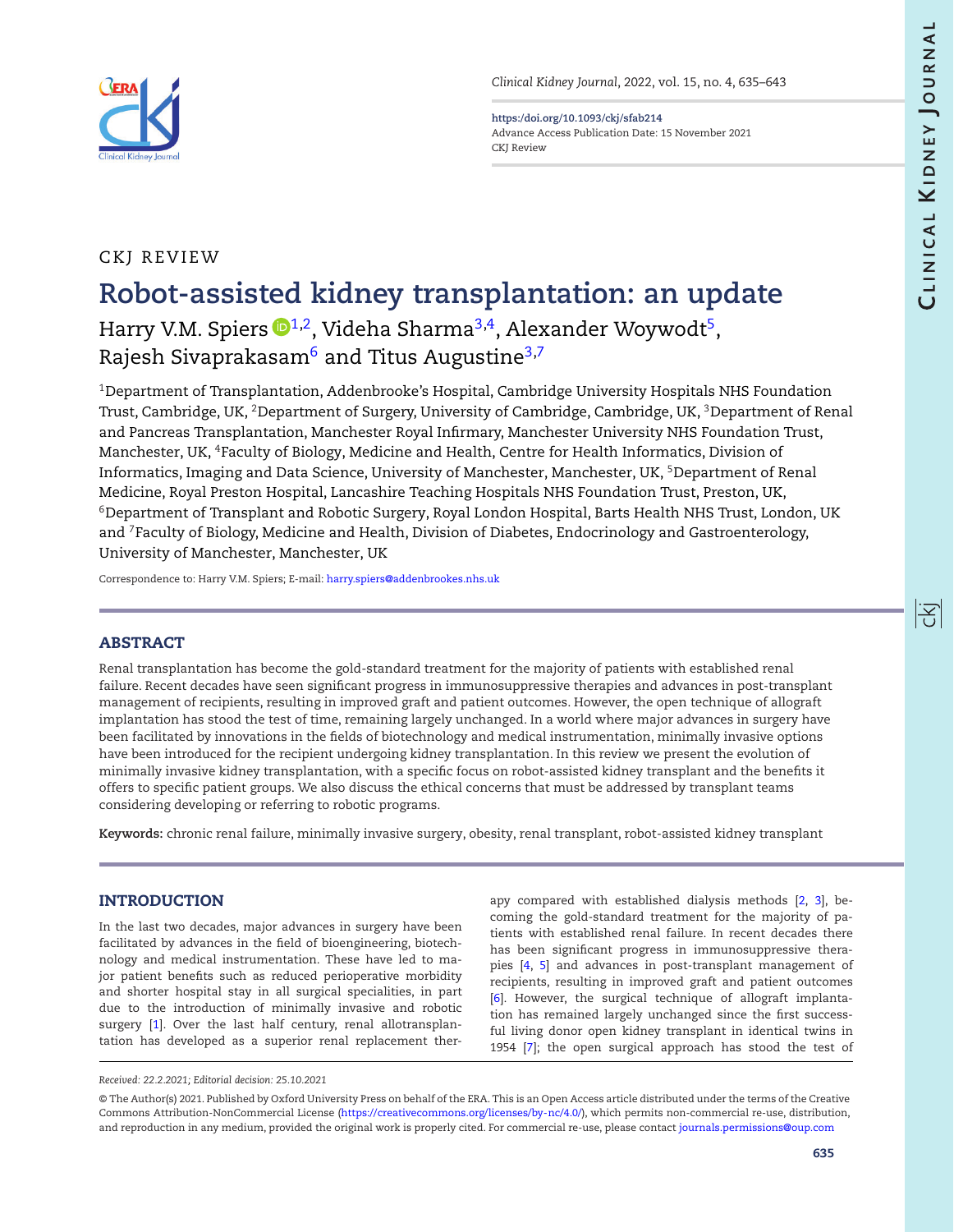<span id="page-0-4"></span><span id="page-0-2"></span>阁



**<https:/doi.org/10.1093/ckj/sfab214>** Advance Access Publication Date: 15 November 2021 CKJ Review

## CKJ REVIEW

# **Robot-assisted kidney transplantation: an update** Harry V.M. Spiers  $\mathbf{D}^{1,2}$  $\mathbf{D}^{1,2}$  $\mathbf{D}^{1,2}$ , Videha Sharma<sup>3,4</sup>, Alexander Woywodt<sup>5</sup>, Rajesh Sivaprakasam $^6$  $^6$  and Titus Augustine<sup>3[,7](#page-0-6)</sup>

<span id="page-0-3"></span><span id="page-0-1"></span><span id="page-0-0"></span> $1$ Department of Transplantation, Addenbrooke's Hospital, Cambridge University Hospitals NHS Foundation Trust, Cambridge, UK, <sup>2</sup>Department of Surgery, University of Cambridge, Cambridge, UK, <sup>3</sup>Department of Renal and Pancreas Transplantation, Manchester Royal Infirmary, Manchester University NHS Foundation Trust, Manchester, UK, 4Faculty of Biology, Medicine and Health, Centre for Health Informatics, Division of Informatics, Imaging and Data Science, University of Manchester, Manchester, UK, <sup>5</sup>Department of Renal Medicine, Royal Preston Hospital, Lancashire Teaching Hospitals NHS Foundation Trust, Preston, UK, 6Department of Transplant and Robotic Surgery, Royal London Hospital, Barts Health NHS Trust, London, UK and 7Faculty of Biology, Medicine and Health, Division of Diabetes, Endocrinology and Gastroenterology, University of Manchester, Manchester, UK

<span id="page-0-6"></span><span id="page-0-5"></span>Correspondence to: Harry V.M. Spiers; E-mail: [harry.spiers@addenbrookes.nhs.uk](mailto:harry.spiers@addenbrookes.nhs.uk)

## **ABSTRACT**

Renal transplantation has become the gold-standard treatment for the majority of patients with established renal failure. Recent decades have seen significant progress in immunosuppressive therapies and advances in post-transplant management of recipients, resulting in improved graft and patient outcomes. However, the open technique of allograft implantation has stood the test of time, remaining largely unchanged. In a world where major advances in surgery have been facilitated by innovations in the fields of biotechnology and medical instrumentation, minimally invasive options have been introduced for the recipient undergoing kidney transplantation. In this review we present the evolution of minimally invasive kidney transplantation, with a specific focus on robot-assisted kidney transplant and the benefits it offers to specific patient groups. We also discuss the ethical concerns that must be addressed by transplant teams considering developing or referring to robotic programs.

**Keywords:** chronic renal failure, minimally invasive surgery, obesity, renal transplant, robot-assisted kidney transplant

## **INTRODUCTION**

In the last two decades, major advances in surgery have been facilitated by advances in the field of bioengineering, biotechnology and medical instrumentation. These have led to major patient benefits such as reduced perioperative morbidity and shorter hospital stay in all surgical specialities, in part due to the introduction of minimally invasive and robotic surgery [\[1\]](#page-6-0). Over the last half century, renal allotransplantation has developed as a superior renal replacement therapy compared with established dialysis methods [\[2,](#page-6-1) [3\]](#page-6-2), becoming the gold-standard treatment for the majority of patients with established renal failure. In recent decades there has been significant progress in immunosuppressive therapies [\[4,](#page-6-3) [5\]](#page-6-4) and advances in post-transplant management of recipients, resulting in improved graft and patient outcomes [\[6\]](#page-6-5). However, the surgical technique of allograft implantation has remained largely unchanged since the first successful living donor open kidney transplant in identical twins in 1954 [\[7\]](#page-6-6); the open surgical approach has stood the test of

*Received: 22.2.2021; Editorial decision: 25.10.2021*

<sup>©</sup> The Author(s) 2021. Published by Oxford University Press on behalf of the ERA. This is an Open Access article distributed under the terms of the Creative Commons Attribution-NonCommercial License [\(https://creativecommons.org/licenses/by-nc/4.0/\)](https://creativecommons.org/licenses/by-nc/4.0/), which permits non-commercial re-use, distribution, and reproduction in any medium, provided the original work is properly cited. For commercial re-use, please contact [journals.permissions@oup.com](mailto:journals.permissions@oup.com)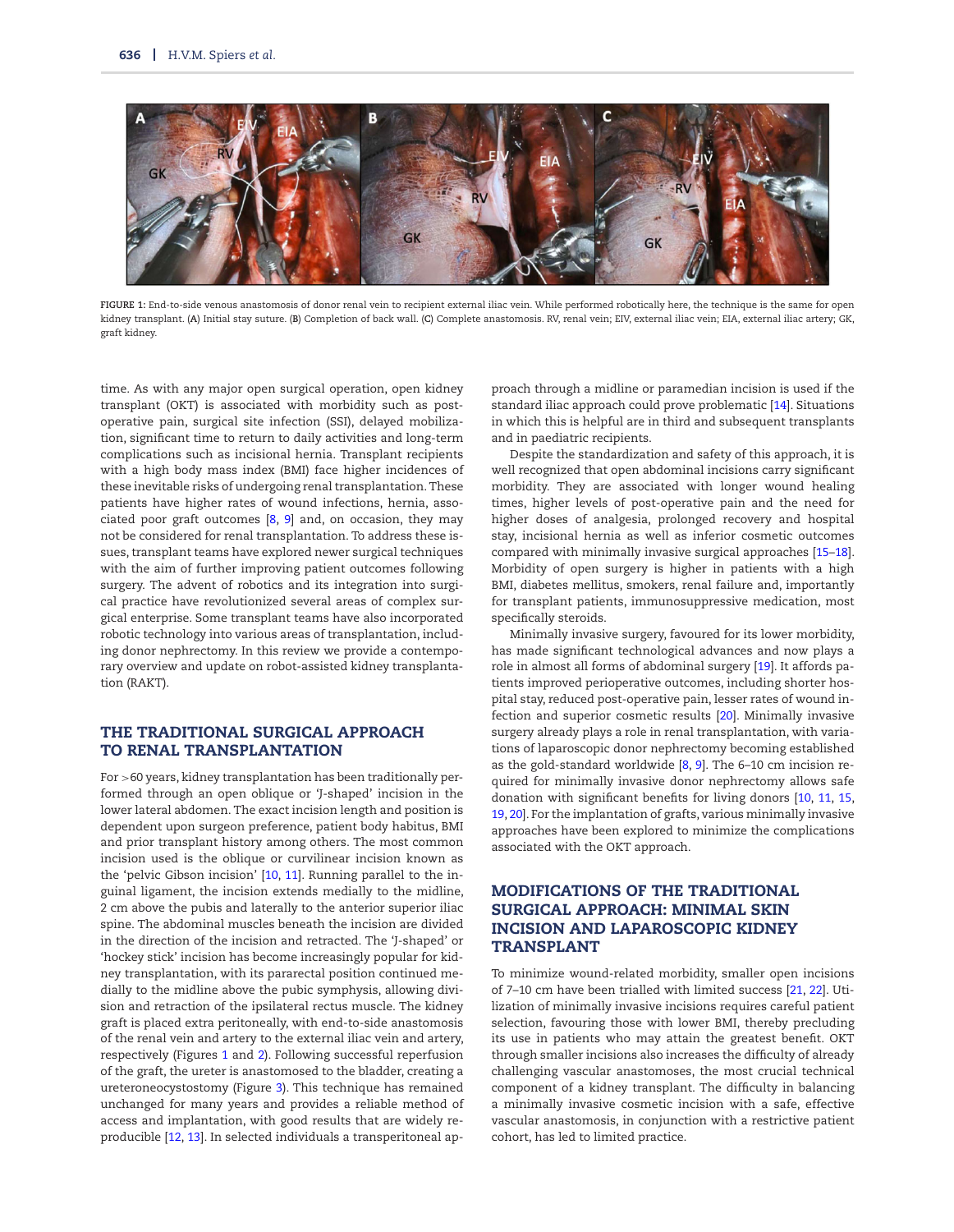<span id="page-1-0"></span>

**FIGURE 1:** End-to-side venous anastomosis of donor renal vein to recipient external iliac vein. While performed robotically here, the technique is the same for open kidney transplant. (**A**) Initial stay suture. (**B**) Completion of back wall. (**C**) Complete anastomosis. RV, renal vein; EIV, external iliac vein; EIA, external iliac artery; GK, graft kidney.

time. As with any major open surgical operation, open kidney transplant (OKT) is associated with morbidity such as postoperative pain, surgical site infection (SSI), delayed mobilization, significant time to return to daily activities and long-term complications such as incisional hernia. Transplant recipients with a high body mass index (BMI) face higher incidences of these inevitable risks of undergoing renal transplantation. These patients have higher rates of wound infections, hernia, associated poor graft outcomes [\[8,](#page-6-7) [9\]](#page-6-8) and, on occasion, they may not be considered for renal transplantation. To address these issues, transplant teams have explored newer surgical techniques with the aim of further improving patient outcomes following surgery. The advent of robotics and its integration into surgical practice have revolutionized several areas of complex surgical enterprise. Some transplant teams have also incorporated robotic technology into various areas of transplantation, including donor nephrectomy. In this review we provide a contemporary overview and update on robot-assisted kidney transplantation (RAKT).

## **THE TRADITIONAL SURGICAL APPROACH TO RENAL TRANSPLANTATION**

For >60 years, kidney transplantation has been traditionally performed through an open oblique or 'J-shaped' incision in the lower lateral abdomen. The exact incision length and position is dependent upon surgeon preference, patient body habitus, BMI and prior transplant history among others. The most common incision used is the oblique or curvilinear incision known as the 'pelvic Gibson incision' [\[10,](#page-6-9) [11\]](#page-6-10). Running parallel to the inguinal ligament, the incision extends medially to the midline, 2 cm above the pubis and laterally to the anterior superior iliac spine. The abdominal muscles beneath the incision are divided in the direction of the incision and retracted. The 'J-shaped' or 'hockey stick' incision has become increasingly popular for kidney transplantation, with its pararectal position continued medially to the midline above the pubic symphysis, allowing division and retraction of the ipsilateral rectus muscle. The kidney graft is placed extra peritoneally, with end-to-side anastomosis of the renal vein and artery to the external iliac vein and artery, respectively (Figures [1](#page-1-0) and [2\)](#page-2-0). Following successful reperfusion of the graft, the ureter is anastomosed to the bladder, creating a ureteroneocystostomy (Figure [3\)](#page-3-0). This technique has remained unchanged for many years and provides a reliable method of access and implantation, with good results that are widely reproducible [\[12,](#page-6-11) [13\]](#page-6-12). In selected individuals a transperitoneal ap-

proach through a midline or paramedian incision is used if the standard iliac approach could prove problematic [\[14\]](#page-7-0). Situations in which this is helpful are in third and subsequent transplants and in paediatric recipients.

Despite the standardization and safety of this approach, it is well recognized that open abdominal incisions carry significant morbidity. They are associated with longer wound healing times, higher levels of post-operative pain and the need for higher doses of analgesia, prolonged recovery and hospital stay, incisional hernia as well as inferior cosmetic outcomes compared with minimally invasive surgical approaches [\[15](#page-7-1)[–18\]](#page-7-2). Morbidity of open surgery is higher in patients with a high BMI, diabetes mellitus, smokers, renal failure and, importantly for transplant patients, immunosuppressive medication, most specifically steroids.

Minimally invasive surgery, favoured for its lower morbidity, has made significant technological advances and now plays a role in almost all forms of abdominal surgery [\[19\]](#page-7-3). It affords patients improved perioperative outcomes, including shorter hospital stay, reduced post-operative pain, lesser rates of wound infection and superior cosmetic results [\[20\]](#page-7-4). Minimally invasive surgery already plays a role in renal transplantation, with variations of laparoscopic donor nephrectomy becoming established as the gold-standard worldwide [\[8,](#page-6-7) [9\]](#page-6-8). The 6–10 cm incision required for minimally invasive donor nephrectomy allows safe donation with significant benefits for living donors [\[10,](#page-6-9) [11,](#page-6-10) [15,](#page-7-1) [19,](#page-7-3) [20\]](#page-7-4). For the implantation of grafts, various minimally invasive approaches have been explored to minimize the complications associated with the OKT approach.

## **MODIFICATIONS OF THE TRADITIONAL SURGICAL APPROACH: MINIMAL SKIN INCISION AND LAPAROSCOPIC KIDNEY TRANSPLANT**

To minimize wound-related morbidity, smaller open incisions of 7–10 cm have been trialled with limited success [\[21,](#page-7-5) [22\]](#page-7-6). Utilization of minimally invasive incisions requires careful patient selection, favouring those with lower BMI, thereby precluding its use in patients who may attain the greatest benefit. OKT through smaller incisions also increases the difficulty of already challenging vascular anastomoses, the most crucial technical component of a kidney transplant. The difficulty in balancing a minimally invasive cosmetic incision with a safe, effective vascular anastomosis, in conjunction with a restrictive patient cohort, has led to limited practice.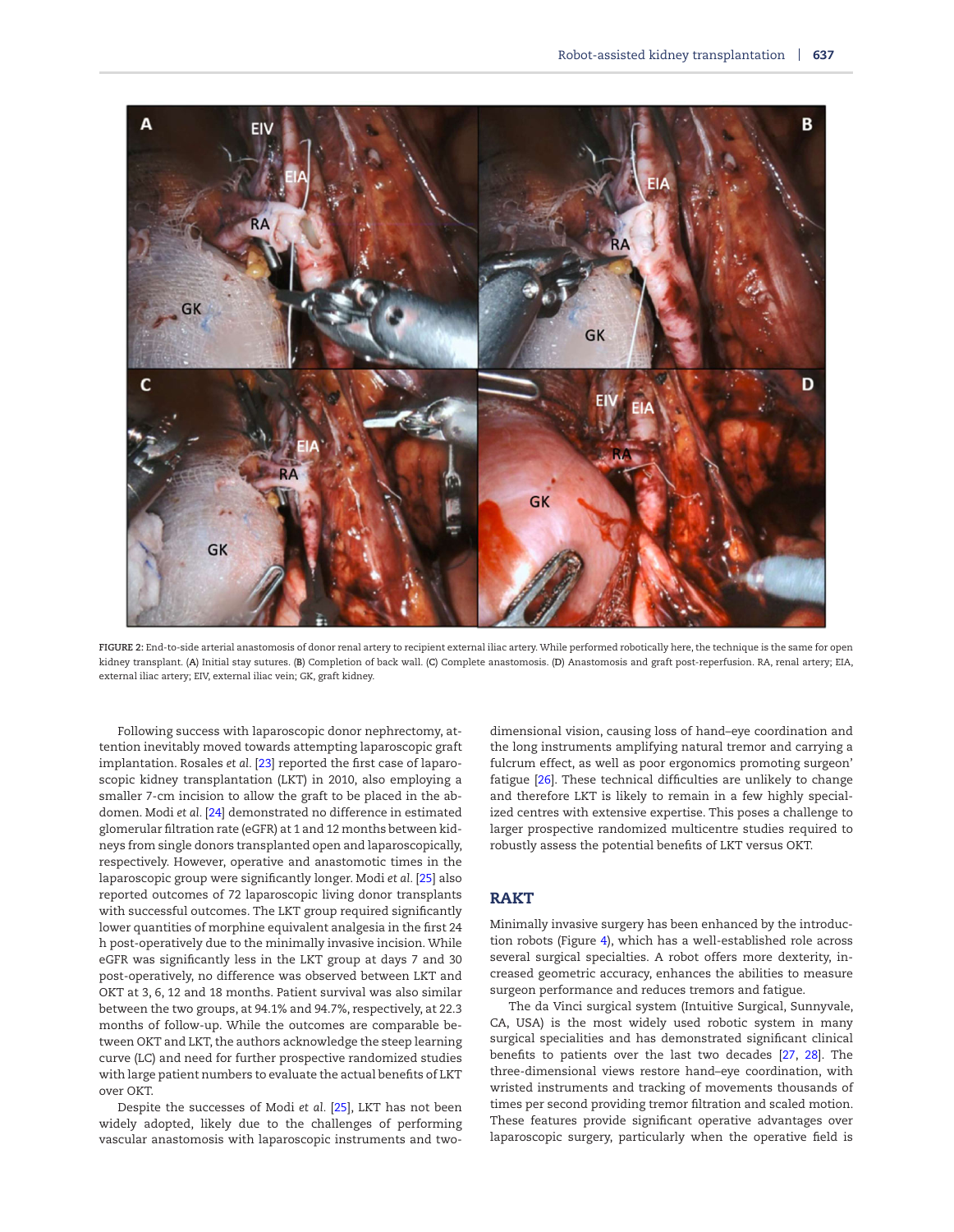<span id="page-2-0"></span>

**FIGURE 2:** End-to-side arterial anastomosis of donor renal artery to recipient external iliac artery. While performed robotically here, the technique is the same for open kidney transplant. (**A**) Initial stay sutures. (**B**) Completion of back wall. (**C**) Complete anastomosis. (**D**) Anastomosis and graft post-reperfusion. RA, renal artery; EIA, external iliac artery; EIV, external iliac vein; GK, graft kidney.

Following success with laparoscopic donor nephrectomy, attention inevitably moved towards attempting laparoscopic graft implantation. Rosales *et al.* [\[23\]](#page-7-7) reported the first case of laparoscopic kidney transplantation (LKT) in 2010, also employing a smaller 7-cm incision to allow the graft to be placed in the abdomen. Modi *et al.* [\[24\]](#page-7-8) demonstrated no difference in estimated glomerular filtration rate (eGFR) at 1 and 12 months between kidneys from single donors transplanted open and laparoscopically, respectively. However, operative and anastomotic times in the laparoscopic group were significantly longer. Modi *et al.* [\[25\]](#page-7-9) also reported outcomes of 72 laparoscopic living donor transplants with successful outcomes. The LKT group required significantly lower quantities of morphine equivalent analgesia in the first 24 h post-operatively due to the minimally invasive incision. While eGFR was significantly less in the LKT group at days 7 and 30 post-operatively, no difference was observed between LKT and OKT at 3, 6, 12 and 18 months. Patient survival was also similar between the two groups, at 94.1% and 94.7%, respectively, at 22.3 months of follow-up. While the outcomes are comparable between OKT and LKT, the authors acknowledge the steep learning curve (LC) and need for further prospective randomized studies with large patient numbers to evaluate the actual benefits of LKT over OKT.

Despite the successes of Modi *et al.* [\[25\]](#page-7-9), LKT has not been widely adopted, likely due to the challenges of performing vascular anastomosis with laparoscopic instruments and twodimensional vision, causing loss of hand–eye coordination and the long instruments amplifying natural tremor and carrying a fulcrum effect, as well as poor ergonomics promoting surgeon' fatigue [\[26\]](#page-7-10). These technical difficulties are unlikely to change and therefore LKT is likely to remain in a few highly specialized centres with extensive expertise. This poses a challenge to larger prospective randomized multicentre studies required to robustly assess the potential benefits of LKT versus OKT.

## **RAKT**

Minimally invasive surgery has been enhanced by the introduction robots (Figure [4\)](#page-3-1), which has a well-established role across several surgical specialties. A robot offers more dexterity, increased geometric accuracy, enhances the abilities to measure surgeon performance and reduces tremors and fatigue.

The da Vinci surgical system (Intuitive Surgical, Sunnyvale, CA, USA) is the most widely used robotic system in many surgical specialities and has demonstrated significant clinical benefits to patients over the last two decades [\[27,](#page-7-11) [28\]](#page-7-12). The three-dimensional views restore hand–eye coordination, with wristed instruments and tracking of movements thousands of times per second providing tremor filtration and scaled motion. These features provide significant operative advantages over laparoscopic surgery, particularly when the operative field is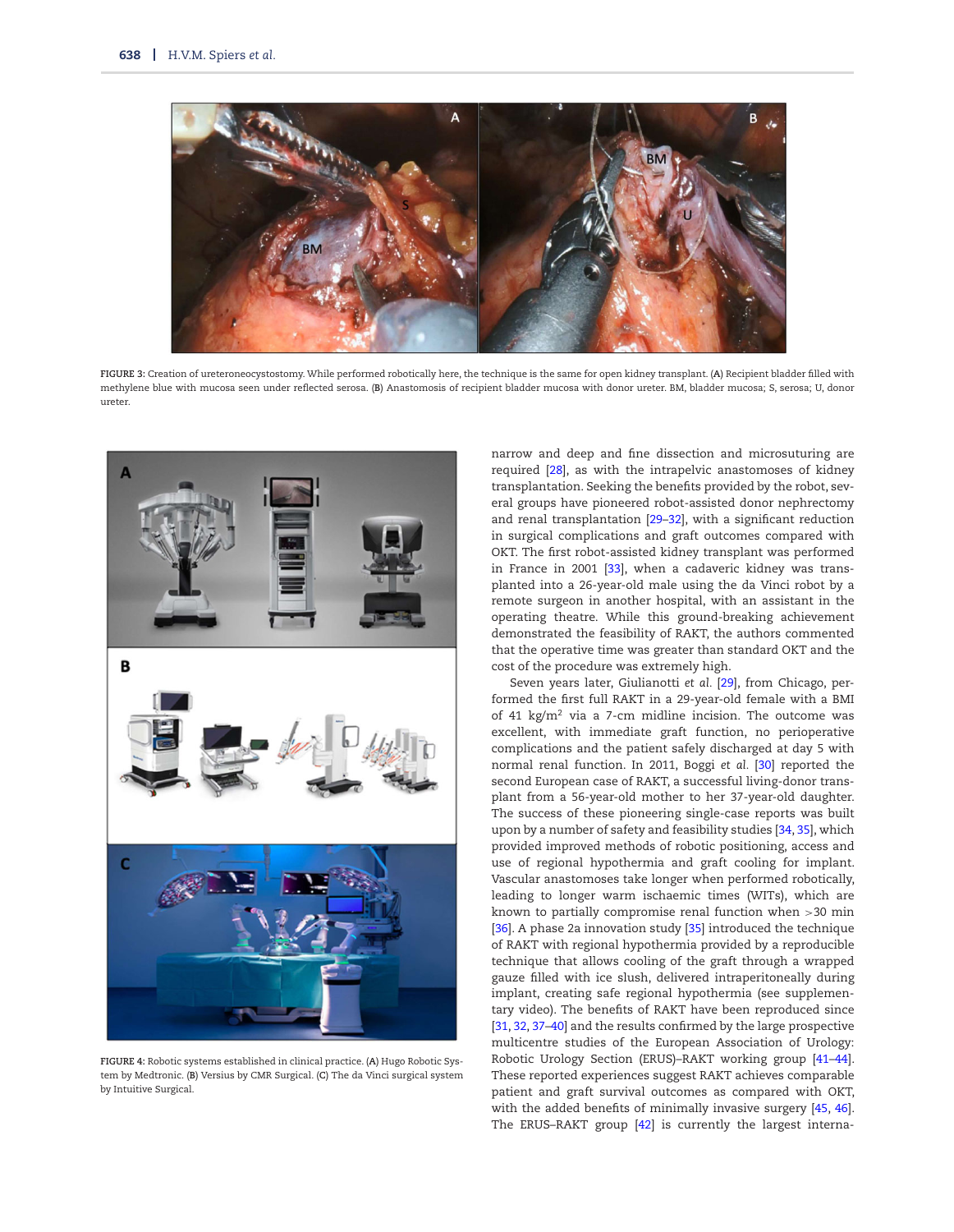<span id="page-3-0"></span>

**FIGURE 3:** Creation of ureteroneocystostomy. While performed robotically here, the technique is the same for open kidney transplant. (**A**) Recipient bladder filled with methylene blue with mucosa seen under reflected serosa. (**B**) Anastomosis of recipient bladder mucosa with donor ureter. BM, bladder mucosa; S, serosa; U, donor ureter.

<span id="page-3-1"></span>

**FIGURE 4:** Robotic systems established in clinical practice. (**A**) Hugo Robotic System by Medtronic. (**B**) Versius by CMR Surgical. (**C**) The da Vinci surgical system by Intuitive Surgical.

narrow and deep and fine dissection and microsuturing are required [\[28\]](#page-7-12), as with the intrapelvic anastomoses of kidney transplantation. Seeking the benefits provided by the robot, several groups have pioneered robot-assisted donor nephrectomy and renal transplantation [\[29–](#page-7-13)[32\]](#page-7-14), with a significant reduction in surgical complications and graft outcomes compared with OKT. The first robot-assisted kidney transplant was performed in France in 2001 [\[33\]](#page-7-15), when a cadaveric kidney was transplanted into a 26-year-old male using the da Vinci robot by a remote surgeon in another hospital, with an assistant in the operating theatre. While this ground-breaking achievement demonstrated the feasibility of RAKT, the authors commented that the operative time was greater than standard OKT and the cost of the procedure was extremely high.

Seven years later, Giulianotti *et al.* [\[29\]](#page-7-13), from Chicago, performed the first full RAKT in a 29-year-old female with a BMI of 41 kg/m<sup>2</sup> via a 7-cm midline incision. The outcome was excellent, with immediate graft function, no perioperative complications and the patient safely discharged at day 5 with normal renal function. In 2011, Boggi *et al.* [\[30\]](#page-7-16) reported the second European case of RAKT, a successful living-donor transplant from a 56-year-old mother to her 37-year-old daughter. The success of these pioneering single-case reports was built upon by a number of safety and feasibility studies [\[34,](#page-7-17) [35\]](#page-7-18), which provided improved methods of robotic positioning, access and use of regional hypothermia and graft cooling for implant. Vascular anastomoses take longer when performed robotically, leading to longer warm ischaemic times (WITs), which are known to partially compromise renal function when >30 min [\[36\]](#page-7-19). A phase 2a innovation study [\[35\]](#page-7-18) introduced the technique of RAKT with regional hypothermia provided by a reproducible technique that allows cooling of the graft through a wrapped gauze filled with ice slush, delivered intraperitoneally during implant, creating safe regional hypothermia (see supplementary video). The benefits of RAKT have been reproduced since [\[31,](#page-7-20) [32,](#page-7-14) [37](#page-7-21)[–40\]](#page-7-22) and the results confirmed by the large prospective multicentre studies of the European Association of Urology: Robotic Urology Section (ERUS)–RAKT working group [\[41](#page-7-23)[–44\]](#page-7-24). These reported experiences suggest RAKT achieves comparable patient and graft survival outcomes as compared with OKT, with the added benefits of minimally invasive surgery [\[45,](#page-7-25) [46\]](#page-7-26). The ERUS-RAKT group [\[42\]](#page-7-27) is currently the largest interna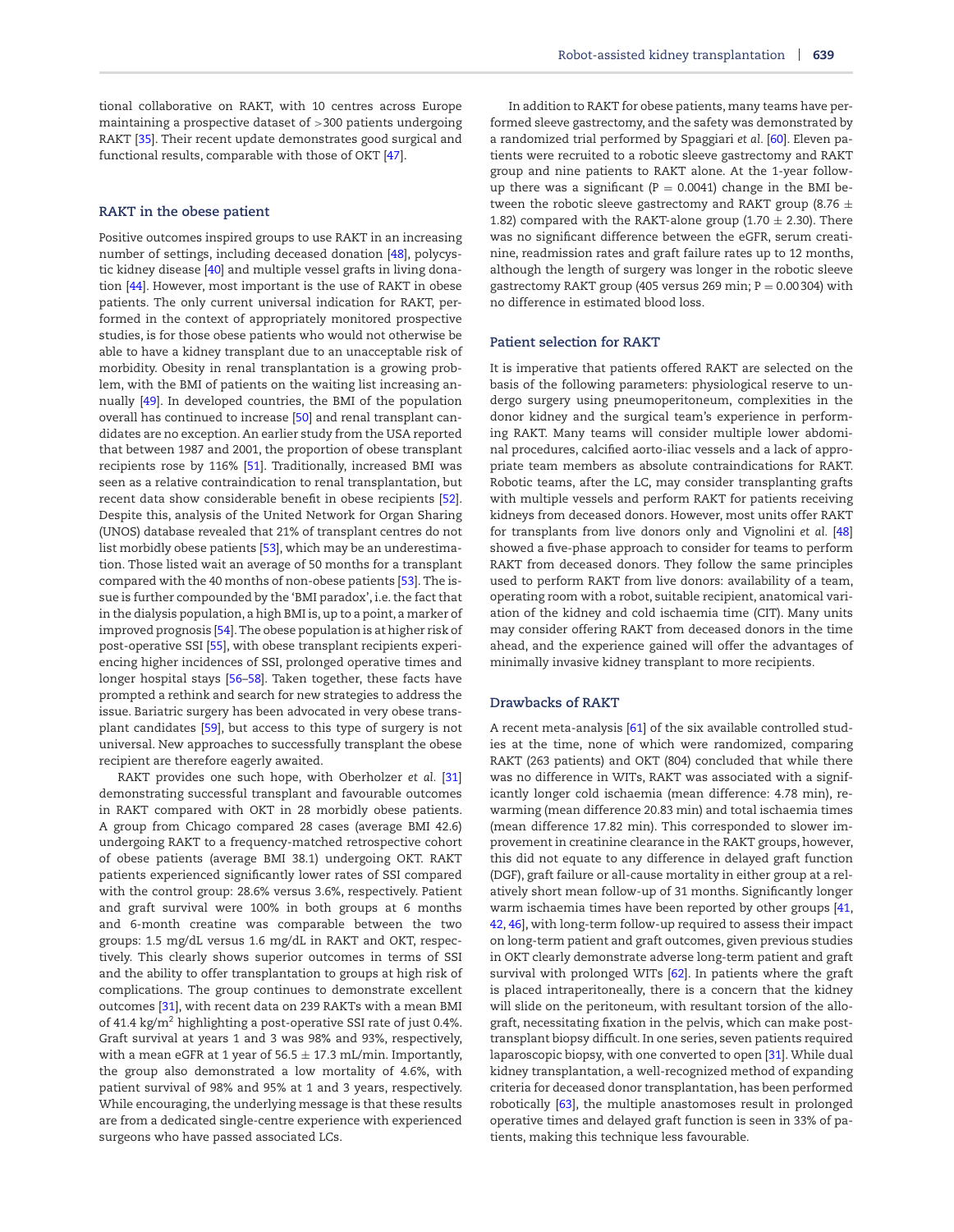tional collaborative on RAKT, with 10 centres across Europe maintaining a prospective dataset of >300 patients undergoing RAKT [\[35\]](#page-7-18). Their recent update demonstrates good surgical and functional results, comparable with those of OKT [\[47\]](#page-7-28).

#### **RAKT in the obese patient**

Positive outcomes inspired groups to use RAKT in an increasing number of settings, including deceased donation [\[48\]](#page-7-29), polycystic kidney disease [\[40\]](#page-7-22) and multiple vessel grafts in living donation [\[44\]](#page-7-24). However, most important is the use of RAKT in obese patients. The only current universal indication for RAKT, performed in the context of appropriately monitored prospective studies, is for those obese patients who would not otherwise be able to have a kidney transplant due to an unacceptable risk of morbidity. Obesity in renal transplantation is a growing problem, with the BMI of patients on the waiting list increasing annually [\[49\]](#page-7-30). In developed countries, the BMI of the population overall has continued to increase [\[50\]](#page-7-31) and renal transplant candidates are no exception. An earlier study from the USA reported that between 1987 and 2001, the proportion of obese transplant recipients rose by 116% [\[51\]](#page-7-32). Traditionally, increased BMI was seen as a relative contraindication to renal transplantation, but recent data show considerable benefit in obese recipients [\[52\]](#page-7-33). Despite this, analysis of the United Network for Organ Sharing (UNOS) database revealed that 21% of transplant centres do not list morbidly obese patients [\[53\]](#page-7-34), which may be an underestimation. Those listed wait an average of 50 months for a transplant compared with the 40 months of non-obese patients [\[53\]](#page-7-34). The issue is further compounded by the 'BMI paradox', i.e. the fact that in the dialysis population, a high BMI is, up to a point, a marker of improved prognosis [\[54\]](#page-7-35). The obese population is at higher risk of post-operative SSI [\[55\]](#page-8-0), with obese transplant recipients experiencing higher incidences of SSI, prolonged operative times and longer hospital stays [\[56–](#page-8-1)[58\]](#page-8-2). Taken together, these facts have prompted a rethink and search for new strategies to address the issue. Bariatric surgery has been advocated in very obese transplant candidates [\[59\]](#page-8-3), but access to this type of surgery is not universal. New approaches to successfully transplant the obese recipient are therefore eagerly awaited.

RAKT provides one such hope, with Oberholzer *et al.* [\[31\]](#page-7-20) demonstrating successful transplant and favourable outcomes in RAKT compared with OKT in 28 morbidly obese patients. A group from Chicago compared 28 cases (average BMI 42.6) undergoing RAKT to a frequency-matched retrospective cohort of obese patients (average BMI 38.1) undergoing OKT. RAKT patients experienced significantly lower rates of SSI compared with the control group: 28.6% versus 3.6%, respectively. Patient and graft survival were 100% in both groups at 6 months and 6-month creatine was comparable between the two groups: 1.5 mg/dL versus 1.6 mg/dL in RAKT and OKT, respectively. This clearly shows superior outcomes in terms of SSI and the ability to offer transplantation to groups at high risk of complications. The group continues to demonstrate excellent outcomes [\[31\]](#page-7-20), with recent data on 239 RAKTs with a mean BMI of 41.4 kg/m2 highlighting a post-operative SSI rate of just 0.4%. Graft survival at years 1 and 3 was 98% and 93%, respectively, with a mean eGFR at 1 year of  $56.5 \pm 17.3$  mL/min. Importantly, the group also demonstrated a low mortality of 4.6%, with patient survival of 98% and 95% at 1 and 3 years, respectively. While encouraging, the underlying message is that these results are from a dedicated single-centre experience with experienced surgeons who have passed associated LCs.

In addition to RAKT for obese patients, many teams have performed sleeve gastrectomy, and the safety was demonstrated by a randomized trial performed by Spaggiari *et al.* [\[60\]](#page-8-4). Eleven patients were recruited to a robotic sleeve gastrectomy and RAKT group and nine patients to RAKT alone. At the 1-year followup there was a significant ( $P = 0.0041$ ) change in the BMI between the robotic sleeve gastrectomy and RAKT group (8.76  $\pm$ 1.82) compared with the RAKT-alone group (1.70  $\pm$  2.30). There was no significant difference between the eGFR, serum creatinine, readmission rates and graft failure rates up to 12 months, although the length of surgery was longer in the robotic sleeve gastrectomy RAKT group (405 versus 269 min;  $P = 0.00304$ ) with no difference in estimated blood loss.

#### **Patient selection for RAKT**

It is imperative that patients offered RAKT are selected on the basis of the following parameters: physiological reserve to undergo surgery using pneumoperitoneum, complexities in the donor kidney and the surgical team's experience in performing RAKT. Many teams will consider multiple lower abdominal procedures, calcified aorto-iliac vessels and a lack of appropriate team members as absolute contraindications for RAKT. Robotic teams, after the LC, may consider transplanting grafts with multiple vessels and perform RAKT for patients receiving kidneys from deceased donors. However, most units offer RAKT for transplants from live donors only and Vignolini *et al.* [\[48\]](#page-7-29) showed a five-phase approach to consider for teams to perform RAKT from deceased donors. They follow the same principles used to perform RAKT from live donors: availability of a team, operating room with a robot, suitable recipient, anatomical variation of the kidney and cold ischaemia time (CIT). Many units may consider offering RAKT from deceased donors in the time ahead, and the experience gained will offer the advantages of minimally invasive kidney transplant to more recipients.

#### **Drawbacks of RAKT**

A recent meta-analysis [\[61\]](#page-8-5) of the six available controlled studies at the time, none of which were randomized, comparing RAKT (263 patients) and OKT (804) concluded that while there was no difference in WITs, RAKT was associated with a significantly longer cold ischaemia (mean difference: 4.78 min), rewarming (mean difference 20.83 min) and total ischaemia times (mean difference 17.82 min). This corresponded to slower improvement in creatinine clearance in the RAKT groups, however, this did not equate to any difference in delayed graft function (DGF), graft failure or all-cause mortality in either group at a relatively short mean follow-up of 31 months. Significantly longer warm ischaemia times have been reported by other groups [\[41,](#page-7-23) [42,](#page-7-27) [46\]](#page-7-26), with long-term follow-up required to assess their impact on long-term patient and graft outcomes, given previous studies in OKT clearly demonstrate adverse long-term patient and graft survival with prolonged WITs [\[62\]](#page-8-6). In patients where the graft is placed intraperitoneally, there is a concern that the kidney will slide on the peritoneum, with resultant torsion of the allograft, necessitating fixation in the pelvis, which can make posttransplant biopsy difficult. In one series, seven patients required laparoscopic biopsy, with one converted to open [\[31\]](#page-7-20). While dual kidney transplantation, a well-recognized method of expanding criteria for deceased donor transplantation, has been performed robotically [\[63\]](#page-8-7), the multiple anastomoses result in prolonged operative times and delayed graft function is seen in 33% of patients, making this technique less favourable.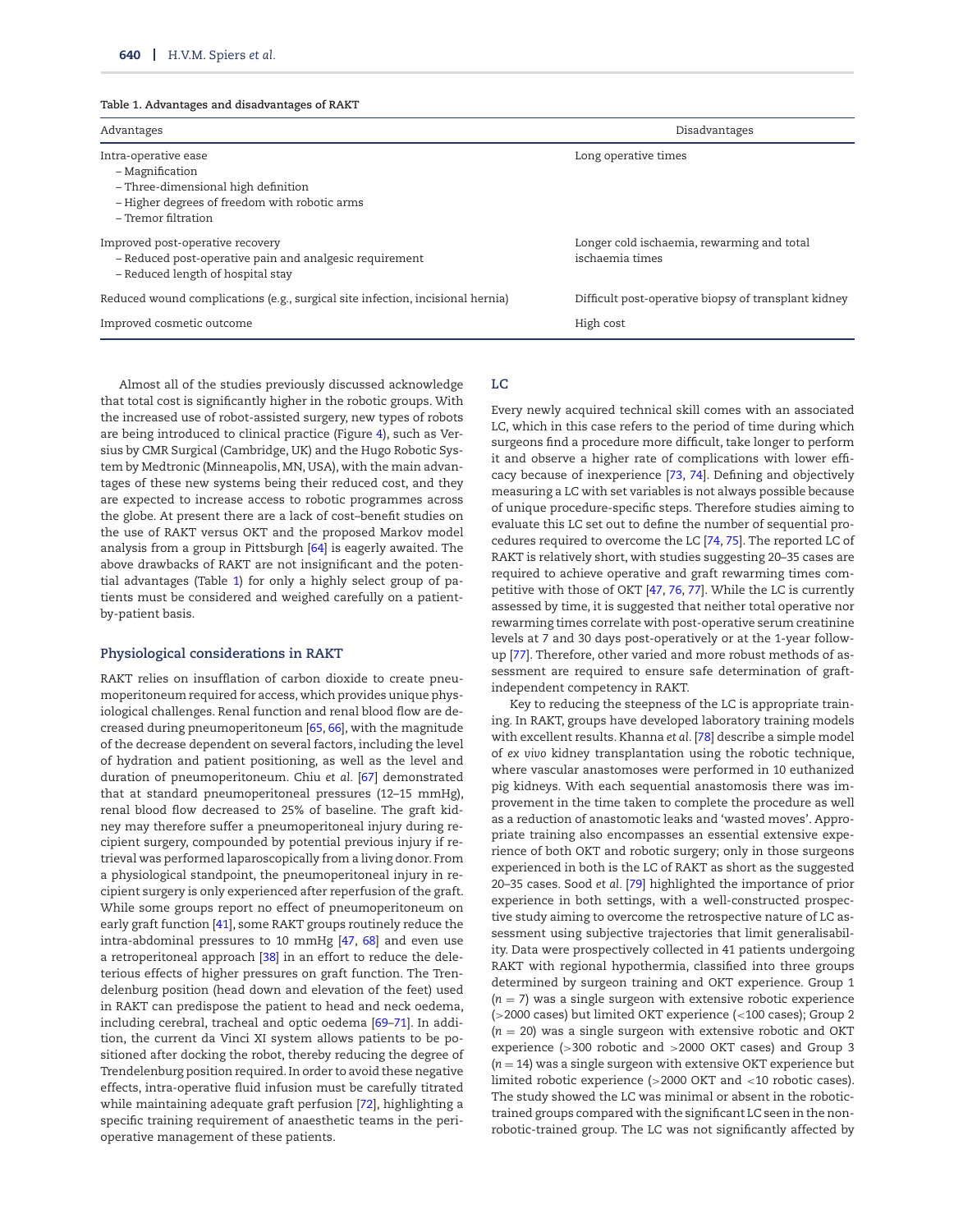#### <span id="page-5-0"></span>**Table 1. Advantages and disadvantages of RAKT**

| Advantages                                                                                                                                             | Disadvantages                                                 |
|--------------------------------------------------------------------------------------------------------------------------------------------------------|---------------------------------------------------------------|
| Intra-operative ease<br>– Magnification<br>- Three-dimensional high definition<br>- Higher degrees of freedom with robotic arms<br>– Tremor filtration | Long operative times                                          |
| Improved post-operative recovery<br>- Reduced post-operative pain and analgesic requirement<br>- Reduced length of hospital stay                       | Longer cold ischaemia, rewarming and total<br>ischaemia times |
| Reduced wound complications (e.g., surgical site infection, incisional hernia)                                                                         | Difficult post-operative biopsy of transplant kidney          |
| Improved cosmetic outcome                                                                                                                              | High cost                                                     |

Almost all of the studies previously discussed acknowledge that total cost is significantly higher in the robotic groups. With the increased use of robot-assisted surgery, new types of robots are being introduced to clinical practice (Figure [4\)](#page-3-1), such as Versius by CMR Surgical (Cambridge, UK) and the Hugo Robotic System by Medtronic (Minneapolis, MN, USA), with the main advantages of these new systems being their reduced cost, and they are expected to increase access to robotic programmes across the globe. At present there are a lack of cost–benefit studies on the use of RAKT versus OKT and the proposed Markov model analysis from a group in Pittsburgh [\[64\]](#page-8-8) is eagerly awaited. The above drawbacks of RAKT are not insignificant and the potential advantages (Table [1\)](#page-5-0) for only a highly select group of patients must be considered and weighed carefully on a patientby-patient basis.

#### **Physiological considerations in RAKT**

RAKT relies on insufflation of carbon dioxide to create pneumoperitoneum required for access, which provides unique physiological challenges. Renal function and renal blood flow are decreased during pneumoperitoneum [\[65,](#page-8-9) [66\]](#page-8-10), with the magnitude of the decrease dependent on several factors, including the level of hydration and patient positioning, as well as the level and duration of pneumoperitoneum. Chiu *et al.* [\[67\]](#page-8-11) demonstrated that at standard pneumoperitoneal pressures (12–15 mmHg), renal blood flow decreased to 25% of baseline. The graft kidney may therefore suffer a pneumoperitoneal injury during recipient surgery, compounded by potential previous injury if retrieval was performed laparoscopically from a living donor. From a physiological standpoint, the pneumoperitoneal injury in recipient surgery is only experienced after reperfusion of the graft. While some groups report no effect of pneumoperitoneum on early graft function [\[41\]](#page-7-23), some RAKT groups routinely reduce the intra-abdominal pressures to 10 mmHg [\[47,](#page-7-28) [68\]](#page-8-12) and even use a retroperitoneal approach [\[38\]](#page-7-36) in an effort to reduce the deleterious effects of higher pressures on graft function. The Trendelenburg position (head down and elevation of the feet) used in RAKT can predispose the patient to head and neck oedema, including cerebral, tracheal and optic oedema [\[69](#page-8-13)[–71\]](#page-8-14). In addition, the current da Vinci XI system allows patients to be positioned after docking the robot, thereby reducing the degree of Trendelenburg position required. In order to avoid these negative effects, intra-operative fluid infusion must be carefully titrated while maintaining adequate graft perfusion [\[72\]](#page-8-15), highlighting a specific training requirement of anaesthetic teams in the perioperative management of these patients.

#### **LC**

Every newly acquired technical skill comes with an associated LC, which in this case refers to the period of time during which surgeons find a procedure more difficult, take longer to perform it and observe a higher rate of complications with lower efficacy because of inexperience [\[73,](#page-8-16) [74\]](#page-8-17). Defining and objectively measuring a LC with set variables is not always possible because of unique procedure-specific steps. Therefore studies aiming to evaluate this LC set out to define the number of sequential pro-cedures required to overcome the LC [\[74,](#page-8-17) [75\]](#page-8-18). The reported LC of RAKT is relatively short, with studies suggesting 20–35 cases are required to achieve operative and graft rewarming times com-petitive with those of OKT [\[47,](#page-7-28) [76,](#page-8-19) [77\]](#page-8-20). While the LC is currently assessed by time, it is suggested that neither total operative nor rewarming times correlate with post-operative serum creatinine levels at 7 and 30 days post-operatively or at the 1-year followup [\[77\]](#page-8-20). Therefore, other varied and more robust methods of assessment are required to ensure safe determination of graftindependent competency in RAKT.

Key to reducing the steepness of the LC is appropriate training. In RAKT, groups have developed laboratory training models with excellent results. Khanna *et al.* [\[78\]](#page-8-21) describe a simple model of *ex vivo* kidney transplantation using the robotic technique, where vascular anastomoses were performed in 10 euthanized pig kidneys. With each sequential anastomosis there was improvement in the time taken to complete the procedure as well as a reduction of anastomotic leaks and 'wasted moves'. Appropriate training also encompasses an essential extensive experience of both OKT and robotic surgery; only in those surgeons experienced in both is the LC of RAKT as short as the suggested 20–35 cases. Sood *et al.* [\[79\]](#page-8-22) highlighted the importance of prior experience in both settings, with a well-constructed prospective study aiming to overcome the retrospective nature of LC assessment using subjective trajectories that limit generalisability. Data were prospectively collected in 41 patients undergoing RAKT with regional hypothermia, classified into three groups determined by surgeon training and OKT experience. Group 1  $(n = 7)$  was a single surgeon with extensive robotic experience (>2000 cases) but limited OKT experience (<100 cases); Group 2 (*n* = 20) was a single surgeon with extensive robotic and OKT experience (>300 robotic and >2000 OKT cases) and Group 3 (*n* = 14) was a single surgeon with extensive OKT experience but limited robotic experience (>2000 OKT and <10 robotic cases). The study showed the LC was minimal or absent in the robotictrained groups compared with the significant LC seen in the nonrobotic-trained group. The LC was not significantly affected by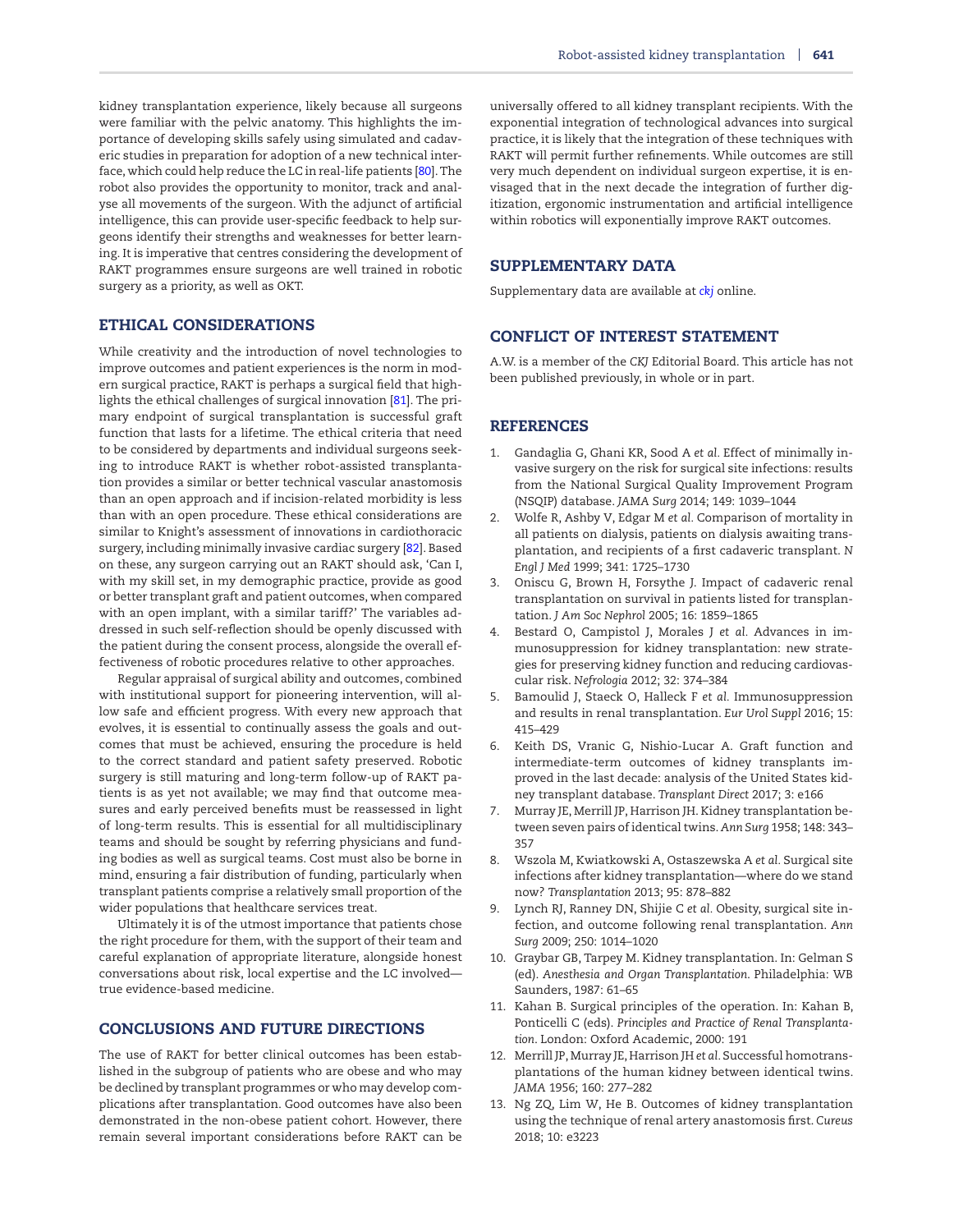kidney transplantation experience, likely because all surgeons were familiar with the pelvic anatomy. This highlights the importance of developing skills safely using simulated and cadaveric studies in preparation for adoption of a new technical interface, which could help reduce the LC in real-life patients [\[80\]](#page-8-23). The robot also provides the opportunity to monitor, track and analyse all movements of the surgeon. With the adjunct of artificial intelligence, this can provide user-specific feedback to help surgeons identify their strengths and weaknesses for better learning. It is imperative that centres considering the development of RAKT programmes ensure surgeons are well trained in robotic surgery as a priority, as well as OKT.

## **ETHICAL CONSIDERATIONS**

While creativity and the introduction of novel technologies to improve outcomes and patient experiences is the norm in modern surgical practice, RAKT is perhaps a surgical field that highlights the ethical challenges of surgical innovation [\[81\]](#page-8-24). The primary endpoint of surgical transplantation is successful graft function that lasts for a lifetime. The ethical criteria that need to be considered by departments and individual surgeons seeking to introduce RAKT is whether robot-assisted transplantation provides a similar or better technical vascular anastomosis than an open approach and if incision-related morbidity is less than with an open procedure. These ethical considerations are similar to Knight's assessment of innovations in cardiothoracic surgery, including minimally invasive cardiac surgery [\[82\]](#page-8-25). Based on these, any surgeon carrying out an RAKT should ask, 'Can I, with my skill set, in my demographic practice, provide as good or better transplant graft and patient outcomes, when compared with an open implant, with a similar tariff?' The variables addressed in such self-reflection should be openly discussed with the patient during the consent process, alongside the overall effectiveness of robotic procedures relative to other approaches.

Regular appraisal of surgical ability and outcomes, combined with institutional support for pioneering intervention, will allow safe and efficient progress. With every new approach that evolves, it is essential to continually assess the goals and outcomes that must be achieved, ensuring the procedure is held to the correct standard and patient safety preserved. Robotic surgery is still maturing and long-term follow-up of RAKT patients is as yet not available; we may find that outcome measures and early perceived benefits must be reassessed in light of long-term results. This is essential for all multidisciplinary teams and should be sought by referring physicians and funding bodies as well as surgical teams. Cost must also be borne in mind, ensuring a fair distribution of funding, particularly when transplant patients comprise a relatively small proportion of the wider populations that healthcare services treat.

Ultimately it is of the utmost importance that patients chose the right procedure for them, with the support of their team and careful explanation of appropriate literature, alongside honest conversations about risk, local expertise and the LC involved true evidence-based medicine.

## **CONCLUSIONS AND FUTURE DIRECTIONS**

The use of RAKT for better clinical outcomes has been established in the subgroup of patients who are obese and who may be declined by transplant programmes or who may develop complications after transplantation. Good outcomes have also been demonstrated in the non-obese patient cohort. However, there remain several important considerations before RAKT can be

universally offered to all kidney transplant recipients. With the exponential integration of technological advances into surgical practice, it is likely that the integration of these techniques with RAKT will permit further refinements. While outcomes are still very much dependent on individual surgeon expertise, it is envisaged that in the next decade the integration of further digitization, ergonomic instrumentation and artificial intelligence within robotics will exponentially improve RAKT outcomes.

## **SUPPLEMENTARY DATA**

Supplementary data are available at *[ckj](https://academic.oup.com/ckj/article-lookup/doi/10.1093/ckj/sfab214#rsupplementary-data)* online.

## **CONFLICT OF INTEREST STATEMENT**

A.W. is a member of the *CKJ* Editorial Board. This article has not been published previously, in whole or in part.

## **REFERENCES**

- <span id="page-6-0"></span>1. Gandaglia G, Ghani KR, Sood A *et al.* Effect of minimally invasive surgery on the risk for surgical site infections: results from the National Surgical Quality Improvement Program (NSQIP) database. *JAMA Surg* 2014; 149: 1039–1044
- <span id="page-6-1"></span>2. Wolfe R, Ashby V, Edgar M *et al.* Comparison of mortality in all patients on dialysis, patients on dialysis awaiting transplantation, and recipients of a first cadaveric transplant. *N Engl J Med* 1999; 341: 1725–1730
- <span id="page-6-2"></span>3. Oniscu G, Brown H, Forsythe J. Impact of cadaveric renal transplantation on survival in patients listed for transplantation. *J Am Soc Nephrol* 2005; 16: 1859–1865
- <span id="page-6-3"></span>4. Bestard O, Campistol J, Morales J *et al.* Advances in immunosuppression for kidney transplantation: new strategies for preserving kidney function and reducing cardiovascular risk. *Nefrologia* 2012; 32: 374–384
- <span id="page-6-4"></span>5. Bamoulid J, Staeck O, Halleck F *et al.* Immunosuppression and results in renal transplantation. *Eur Urol Suppl* 2016; 15: 415–429
- <span id="page-6-5"></span>6. Keith DS, Vranic G, Nishio-Lucar A. Graft function and intermediate-term outcomes of kidney transplants improved in the last decade: analysis of the United States kidney transplant database. *Transplant Direct* 2017; 3: e166
- <span id="page-6-6"></span>7. Murray JE, Merrill JP, Harrison JH. Kidney transplantation between seven pairs of identical twins. *Ann Surg* 1958; 148: 343– 357
- <span id="page-6-7"></span>8. Wszola M, Kwiatkowski A, Ostaszewska A *et al.* Surgical site infections after kidney transplantation—where do we stand now? *Transplantation* 2013; 95: 878–882
- <span id="page-6-8"></span>9. Lynch RJ, Ranney DN, Shijie C *et al.* Obesity, surgical site infection, and outcome following renal transplantation. *Ann Surg* 2009; 250: 1014–1020
- <span id="page-6-9"></span>10. Graybar GB, Tarpey M. Kidney transplantation. In: Gelman S (ed). *Anesthesia and Organ Transplantation*. Philadelphia: WB Saunders, 1987: 61–65
- <span id="page-6-10"></span>11. Kahan B. Surgical principles of the operation. In: Kahan B, Ponticelli C (eds). *Principles and Practice of Renal Transplantation*. London: Oxford Academic, 2000: 191
- <span id="page-6-11"></span>12. Merrill JP,Murray JE, Harrison JH *et al.* Successful homotransplantations of the human kidney between identical twins. *JAMA* 1956; 160: 277–282
- <span id="page-6-12"></span>13. Ng ZQ, Lim W, He B. Outcomes of kidney transplantation using the technique of renal artery anastomosis first. *Cureus* 2018; 10: e3223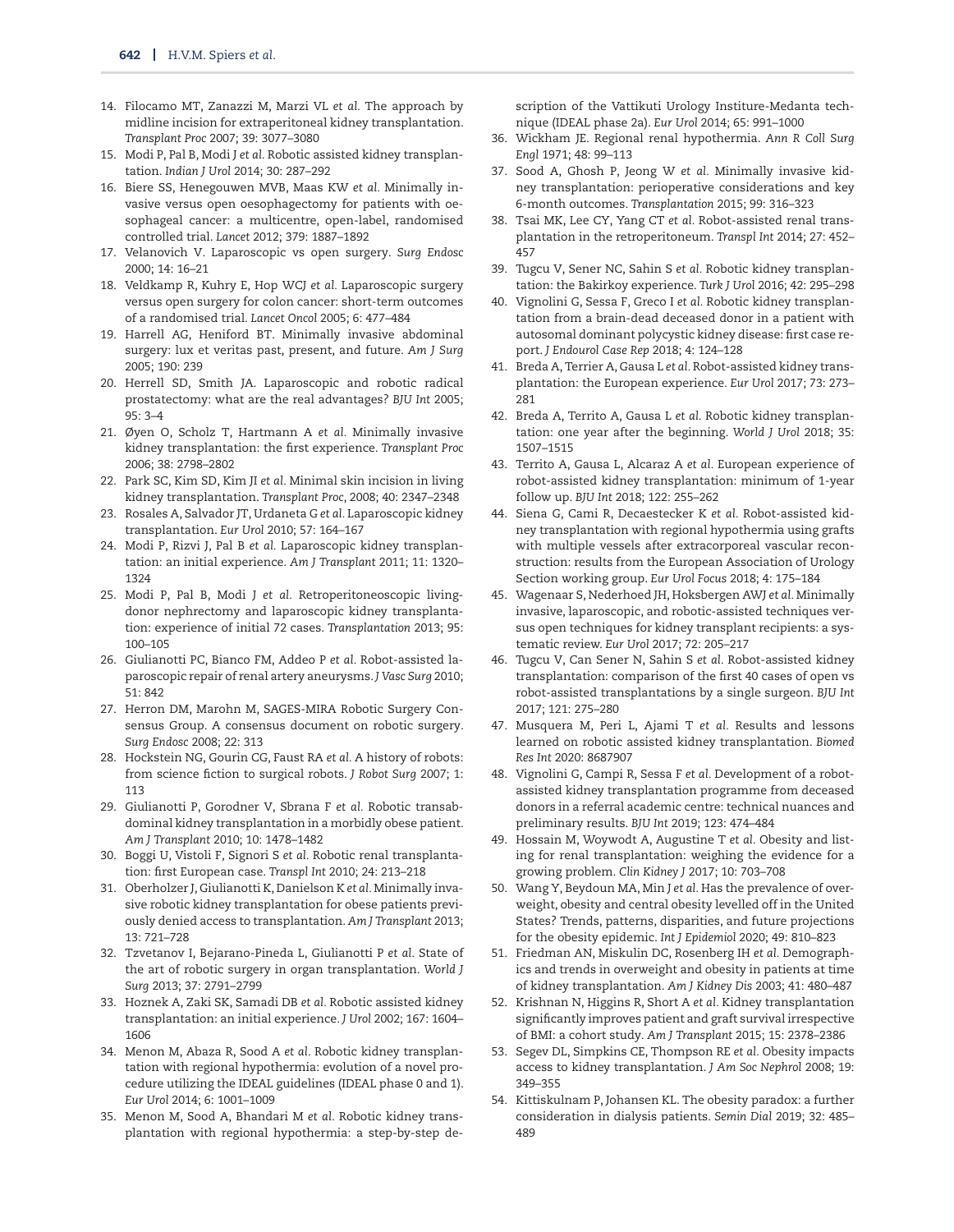- <span id="page-7-0"></span>14. Filocamo MT, Zanazzi M, Marzi VL *et al.* The approach by midline incision for extraperitoneal kidney transplantation. *Transplant Proc* 2007; 39: 3077–3080
- <span id="page-7-1"></span>15. Modi P, Pal B, Modi J *et al.* Robotic assisted kidney transplantation. *Indian J Urol* 2014; 30: 287–292
- 16. Biere SS, Henegouwen MVB, Maas KW *et al.* Minimally invasive versus open oesophagectomy for patients with oesophageal cancer: a multicentre, open-label, randomised controlled trial. *Lancet* 2012; 379: 1887–1892
- 17. Velanovich V. Laparoscopic vs open surgery. *Surg Endosc* 2000; 14: 16–21
- <span id="page-7-2"></span>18. Veldkamp R, Kuhry E, Hop WCJ *et al.* Laparoscopic surgery versus open surgery for colon cancer: short-term outcomes of a randomised trial. *Lancet Oncol* 2005; 6: 477–484
- <span id="page-7-3"></span>19. Harrell AG, Heniford BT. Minimally invasive abdominal surgery: lux et veritas past, present, and future. *Am J Surg* 2005; 190: 239
- <span id="page-7-4"></span>20. Herrell SD, Smith JA. Laparoscopic and robotic radical prostatectomy: what are the real advantages? *BJU Int* 2005; 95: 3–4
- <span id="page-7-5"></span>21. Øyen O, Scholz T, Hartmann A *et al.* Minimally invasive kidney transplantation: the first experience. *Transplant Proc* 2006; 38: 2798–2802
- <span id="page-7-6"></span>22. Park SC, Kim SD, Kim JI *et al.* Minimal skin incision in living kidney transplantation. *Transplant Proc*, 2008; 40: 2347–2348
- <span id="page-7-7"></span>23. Rosales A, Salvador JT, Urdaneta G *et al.* Laparoscopic kidney transplantation. *Eur Urol* 2010; 57: 164–167
- <span id="page-7-8"></span>24. Modi P, Rizvi J, Pal B *et al.* Laparoscopic kidney transplantation: an initial experience. *Am J Transplant* 2011; 11: 1320– 1324
- <span id="page-7-9"></span>25. Modi P, Pal B, Modi J *et al.* Retroperitoneoscopic livingdonor nephrectomy and laparoscopic kidney transplantation: experience of initial 72 cases. *Transplantation* 2013; 95: 100–105
- <span id="page-7-10"></span>26. Giulianotti PC, Bianco FM, Addeo P *et al.* Robot-assisted laparoscopic repair of renal artery aneurysms. *J Vasc Surg* 2010; 51: 842
- <span id="page-7-11"></span>27. Herron DM, Marohn M, SAGES-MIRA Robotic Surgery Consensus Group. A consensus document on robotic surgery. *Surg Endosc* 2008; 22: 313
- <span id="page-7-12"></span>28. Hockstein NG, Gourin CG, Faust RA *et al.* A history of robots: from science fiction to surgical robots. *J Robot Surg* 2007; 1: 113
- <span id="page-7-13"></span>29. Giulianotti P, Gorodner V, Sbrana F *et al.* Robotic transabdominal kidney transplantation in a morbidly obese patient. *Am J Transplant* 2010; 10: 1478–1482
- <span id="page-7-16"></span>30. Boggi U, Vistoli F, Signori S *et al.* Robotic renal transplantation: first European case. *Transpl Int* 2010; 24: 213–218
- <span id="page-7-20"></span>31. Oberholzer J, Giulianotti K, Danielson K *et al.* Minimally invasive robotic kidney transplantation for obese patients previously denied access to transplantation. *Am J Transplant* 2013; 13: 721–728
- <span id="page-7-14"></span>32. Tzvetanov I, Bejarano-Pineda L, Giulianotti P *et al.* State of the art of robotic surgery in organ transplantation. *World J Surg* 2013; 37: 2791–2799
- <span id="page-7-15"></span>33. Hoznek A, Zaki SK, Samadi DB *et al.* Robotic assisted kidney transplantation: an initial experience. *J Urol* 2002; 167: 1604– 1606
- <span id="page-7-17"></span>34. Menon M, Abaza R, Sood A *et al.* Robotic kidney transplantation with regional hypothermia: evolution of a novel procedure utilizing the IDEAL guidelines (IDEAL phase 0 and 1). *Eur Urol* 2014; 6: 1001–1009
- <span id="page-7-18"></span>35. Menon M, Sood A, Bhandari M *et al.* Robotic kidney transplantation with regional hypothermia: a step-by-step de-

scription of the Vattikuti Urology Institure-Medanta technique (IDEAL phase 2a). *Eur Urol* 2014; 65: 991–1000

- <span id="page-7-19"></span>36. Wickham JE. Regional renal hypothermia. *Ann R Coll Surg Engl* 1971; 48: 99–113
- <span id="page-7-21"></span>37. Sood A, Ghosh P, Jeong W *et al.* Minimally invasive kidney transplantation: perioperative considerations and key 6-month outcomes. *Transplantation* 2015; 99: 316–323
- <span id="page-7-36"></span>38. Tsai MK, Lee CY, Yang CT *et al.* Robot-assisted renal transplantation in the retroperitoneum. *Transpl Int* 2014; 27: 452– 457
- 39. Tugcu V, Sener NC, Sahin S *et al.* Robotic kidney transplantation: the Bakirkoy experience. *Turk J Urol* 2016; 42: 295–298
- <span id="page-7-22"></span>40. Vignolini G, Sessa F, Greco I *et al.* Robotic kidney transplantation from a brain-dead deceased donor in a patient with autosomal dominant polycystic kidney disease: first case report. *J Endourol Case Rep* 2018; 4: 124–128
- <span id="page-7-23"></span>41. Breda A, Terrier A, Gausa L *et al.* Robot-assisted kidney transplantation: the European experience. *Eur Urol* 2017; 73: 273– 281
- <span id="page-7-27"></span>42. Breda A, Territo A, Gausa L *et al.* Robotic kidney transplantation: one year after the beginning. *World J Urol* 2018; 35: 1507–1515
- 43. Territo A, Gausa L, Alcaraz A *et al.* European experience of robot-assisted kidney transplantation: minimum of 1-year follow up. *BJU Int* 2018; 122: 255–262
- <span id="page-7-24"></span>44. Siena G, Cami R, Decaestecker K *et al.* Robot-assisted kidney transplantation with regional hypothermia using grafts with multiple vessels after extracorporeal vascular reconstruction: results from the European Association of Urology Section working group. *Eur Urol Focus* 2018; 4: 175–184
- <span id="page-7-25"></span>45. Wagenaar S, Nederhoed JH, Hoksbergen AWJ *et al.* Minimally invasive, laparoscopic, and robotic-assisted techniques versus open techniques for kidney transplant recipients: a systematic review. *Eur Urol* 2017; 72: 205–217
- <span id="page-7-26"></span>46. Tugcu V, Can Sener N, Sahin S *et al.* Robot-assisted kidney transplantation: comparison of the first 40 cases of open vs robot-assisted transplantations by a single surgeon. *BJU Int* 2017; 121: 275–280
- <span id="page-7-28"></span>47. Musquera M, Peri L, Ajami T *et al.* Results and lessons learned on robotic assisted kidney transplantation. *Biomed Res Int* 2020: 8687907
- <span id="page-7-29"></span>48. Vignolini G, Campi R, Sessa F *et al.* Development of a robotassisted kidney transplantation programme from deceased donors in a referral academic centre: technical nuances and preliminary results. *BJU Int* 2019; 123: 474–484
- <span id="page-7-30"></span>49. Hossain M, Woywodt A, Augustine T *et al.* Obesity and listing for renal transplantation: weighing the evidence for a growing problem. *Clin Kidney J* 2017; 10: 703–708
- <span id="page-7-31"></span>50. Wang Y, Beydoun MA, Min J *et al.* Has the prevalence of overweight, obesity and central obesity levelled off in the United States? Trends, patterns, disparities, and future projections for the obesity epidemic. *Int J Epidemiol* 2020; 49: 810–823
- <span id="page-7-32"></span>51. Friedman AN, Miskulin DC, Rosenberg IH *et al.* Demographics and trends in overweight and obesity in patients at time of kidney transplantation. *Am J Kidney Dis* 2003; 41: 480–487
- <span id="page-7-33"></span>52. Krishnan N, Higgins R, Short A *et al.* Kidney transplantation significantly improves patient and graft survival irrespective of BMI: a cohort study. *Am J Transplant* 2015; 15: 2378–2386
- <span id="page-7-34"></span>53. Segev DL, Simpkins CE, Thompson RE *et al.* Obesity impacts access to kidney transplantation. *J Am Soc Nephrol* 2008; 19: 349–355
- <span id="page-7-35"></span>54. Kittiskulnam P, Johansen KL. The obesity paradox: a further consideration in dialysis patients. *Semin Dial* 2019; 32: 485– 489